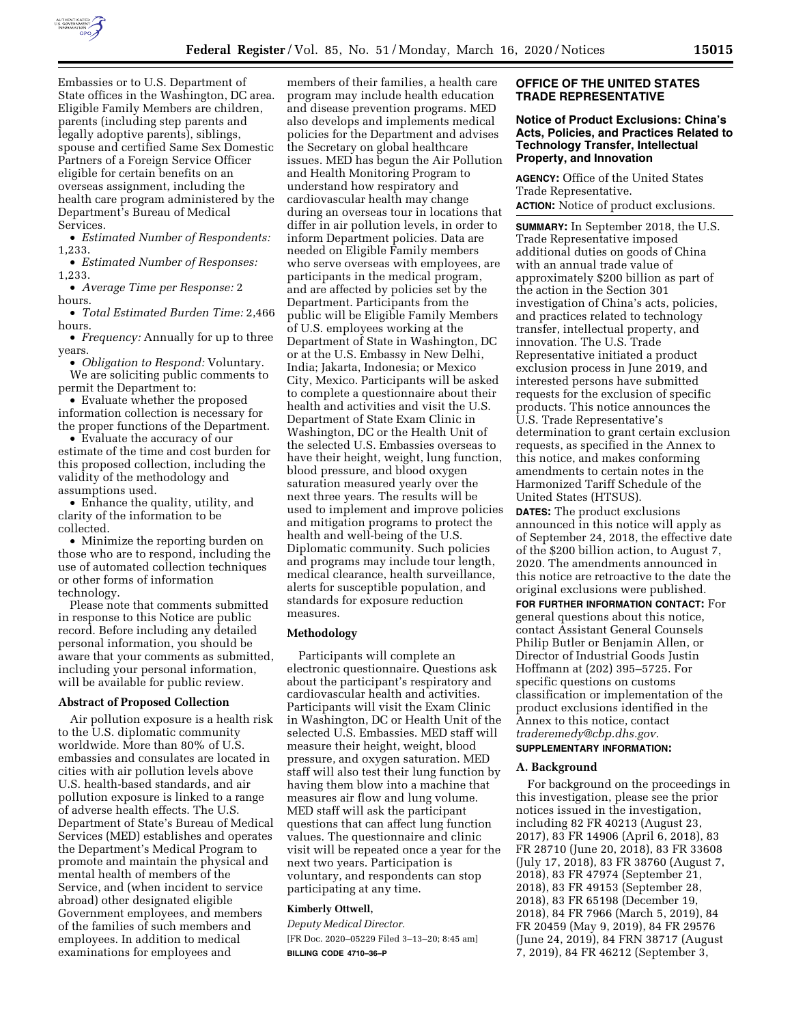

Embassies or to U.S. Department of State offices in the Washington, DC area. Eligible Family Members are children, parents (including step parents and legally adoptive parents), siblings, spouse and certified Same Sex Domestic Partners of a Foreign Service Officer eligible for certain benefits on an overseas assignment, including the health care program administered by the Department's Bureau of Medical Services.

• *Estimated Number of Respondents:*  1,233.

• *Estimated Number of Responses:*  1,233.

• *Average Time per Response:* 2 hours.

• *Total Estimated Burden Time:* 2,466 hours.

• *Frequency:* Annually for up to three years.

• *Obligation to Respond:* Voluntary. We are soliciting public comments to permit the Department to:

• Evaluate whether the proposed information collection is necessary for the proper functions of the Department.

• Evaluate the accuracy of our estimate of the time and cost burden for this proposed collection, including the validity of the methodology and assumptions used.

• Enhance the quality, utility, and clarity of the information to be collected.

• Minimize the reporting burden on those who are to respond, including the use of automated collection techniques or other forms of information technology.

Please note that comments submitted in response to this Notice are public record. Before including any detailed personal information, you should be aware that your comments as submitted, including your personal information, will be available for public review.

#### **Abstract of Proposed Collection**

Air pollution exposure is a health risk to the U.S. diplomatic community worldwide. More than 80% of U.S. embassies and consulates are located in cities with air pollution levels above U.S. health-based standards, and air pollution exposure is linked to a range of adverse health effects. The U.S. Department of State's Bureau of Medical Services (MED) establishes and operates the Department's Medical Program to promote and maintain the physical and mental health of members of the Service, and (when incident to service abroad) other designated eligible Government employees, and members of the families of such members and employees. In addition to medical examinations for employees and

members of their families, a health care program may include health education and disease prevention programs. MED also develops and implements medical policies for the Department and advises the Secretary on global healthcare issues. MED has begun the Air Pollution and Health Monitoring Program to understand how respiratory and cardiovascular health may change during an overseas tour in locations that differ in air pollution levels, in order to inform Department policies. Data are needed on Eligible Family members who serve overseas with employees, are participants in the medical program, and are affected by policies set by the Department. Participants from the public will be Eligible Family Members of U.S. employees working at the Department of State in Washington, DC or at the U.S. Embassy in New Delhi, India; Jakarta, Indonesia; or Mexico City, Mexico. Participants will be asked to complete a questionnaire about their health and activities and visit the U.S. Department of State Exam Clinic in Washington, DC or the Health Unit of the selected U.S. Embassies overseas to have their height, weight, lung function, blood pressure, and blood oxygen saturation measured yearly over the next three years. The results will be used to implement and improve policies and mitigation programs to protect the health and well-being of the U.S. Diplomatic community. Such policies and programs may include tour length, medical clearance, health surveillance, alerts for susceptible population, and standards for exposure reduction measures.

#### **Methodology**

Participants will complete an electronic questionnaire. Questions ask about the participant's respiratory and cardiovascular health and activities. Participants will visit the Exam Clinic in Washington, DC or Health Unit of the selected U.S. Embassies. MED staff will measure their height, weight, blood pressure, and oxygen saturation. MED staff will also test their lung function by having them blow into a machine that measures air flow and lung volume. MED staff will ask the participant questions that can affect lung function values. The questionnaire and clinic visit will be repeated once a year for the next two years. Participation is voluntary, and respondents can stop participating at any time.

# **Kimberly Ottwell,**

*Deputy Medical Director.*  [FR Doc. 2020–05229 Filed 3–13–20; 8:45 am] **BILLING CODE 4710–36–P** 

#### **OFFICE OF THE UNITED STATES TRADE REPRESENTATIVE**

#### **Notice of Product Exclusions: China's Acts, Policies, and Practices Related to Technology Transfer, Intellectual Property, and Innovation**

**AGENCY:** Office of the United States Trade Representative. **ACTION:** Notice of product exclusions.

**SUMMARY:** In September 2018, the U.S. Trade Representative imposed additional duties on goods of China with an annual trade value of approximately \$200 billion as part of the action in the Section 301 investigation of China's acts, policies, and practices related to technology transfer, intellectual property, and innovation. The U.S. Trade Representative initiated a product exclusion process in June 2019, and interested persons have submitted requests for the exclusion of specific products. This notice announces the U.S. Trade Representative's determination to grant certain exclusion requests, as specified in the Annex to this notice, and makes conforming amendments to certain notes in the Harmonized Tariff Schedule of the United States (HTSUS).

**DATES:** The product exclusions announced in this notice will apply as of September 24, 2018, the effective date of the \$200 billion action, to August 7, 2020. The amendments announced in this notice are retroactive to the date the original exclusions were published.

**FOR FURTHER INFORMATION CONTACT:** For general questions about this notice, contact Assistant General Counsels Philip Butler or Benjamin Allen, or Director of Industrial Goods Justin Hoffmann at (202) 395–5725. For specific questions on customs classification or implementation of the product exclusions identified in the Annex to this notice, contact *[traderemedy@cbp.dhs.gov.](mailto:traderemedy@cbp.dhs.gov)*  **SUPPLEMENTARY INFORMATION:** 

# **A. Background**

For background on the proceedings in this investigation, please see the prior notices issued in the investigation, including 82 FR 40213 (August 23, 2017), 83 FR 14906 (April 6, 2018), 83 FR 28710 (June 20, 2018), 83 FR 33608 (July 17, 2018), 83 FR 38760 (August 7, 2018), 83 FR 47974 (September 21, 2018), 83 FR 49153 (September 28, 2018), 83 FR 65198 (December 19, 2018), 84 FR 7966 (March 5, 2019), 84 FR 20459 (May 9, 2019), 84 FR 29576 (June 24, 2019), 84 FRN 38717 (August 7, 2019), 84 FR 46212 (September 3,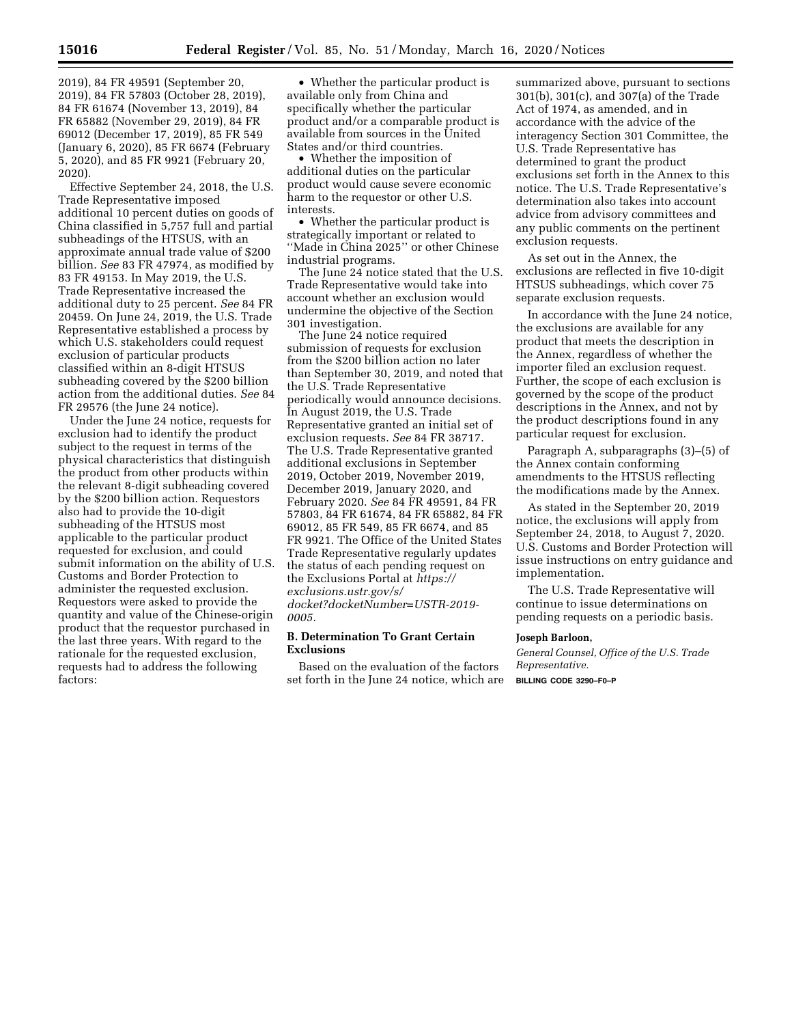2019), 84 FR 49591 (September 20, 2019), 84 FR 57803 (October 28, 2019), 84 FR 61674 (November 13, 2019), 84 FR 65882 (November 29, 2019), 84 FR 69012 (December 17, 2019), 85 FR 549 (January 6, 2020), 85 FR 6674 (February 5, 2020), and 85 FR 9921 (February 20, 2020).

Effective September 24, 2018, the U.S. Trade Representative imposed additional 10 percent duties on goods of China classified in 5,757 full and partial subheadings of the HTSUS, with an approximate annual trade value of \$200 billion. *See* 83 FR 47974, as modified by 83 FR 49153. In May 2019, the U.S. Trade Representative increased the additional duty to 25 percent. *See* 84 FR 20459. On June 24, 2019, the U.S. Trade Representative established a process by which U.S. stakeholders could request exclusion of particular products classified within an 8-digit HTSUS subheading covered by the \$200 billion action from the additional duties. *See* 84 FR 29576 (the June 24 notice).

Under the June 24 notice, requests for exclusion had to identify the product subject to the request in terms of the physical characteristics that distinguish the product from other products within the relevant 8-digit subheading covered by the \$200 billion action. Requestors also had to provide the 10-digit subheading of the HTSUS most applicable to the particular product requested for exclusion, and could submit information on the ability of U.S. Customs and Border Protection to administer the requested exclusion. Requestors were asked to provide the quantity and value of the Chinese-origin product that the requestor purchased in the last three years. With regard to the rationale for the requested exclusion, requests had to address the following factors:

• Whether the particular product is available only from China and specifically whether the particular product and/or a comparable product is available from sources in the United States and/or third countries.

• Whether the imposition of additional duties on the particular product would cause severe economic harm to the requestor or other U.S. interests.

• Whether the particular product is strategically important or related to ''Made in China 2025'' or other Chinese industrial programs.

The June 24 notice stated that the U.S. Trade Representative would take into account whether an exclusion would undermine the objective of the Section 301 investigation.

The June 24 notice required submission of requests for exclusion from the \$200 billion action no later than September 30, 2019, and noted that the U.S. Trade Representative periodically would announce decisions. In August 2019, the U.S. Trade Representative granted an initial set of exclusion requests. *See* 84 FR 38717. The U.S. Trade Representative granted additional exclusions in September 2019, October 2019, November 2019, December 2019, January 2020, and February 2020. *See* 84 FR 49591, 84 FR 57803, 84 FR 61674, 84 FR 65882, 84 FR 69012, 85 FR 549, 85 FR 6674, and 85 FR 9921. The Office of the United States Trade Representative regularly updates the status of each pending request on the Exclusions Portal at *[https://](https://exclusions.ustr.gov/s/docket?docketNumber=USTR-2019-0005) [exclusions.ustr.gov/s/](https://exclusions.ustr.gov/s/docket?docketNumber=USTR-2019-0005)  [docket?docketNumber=USTR-2019-](https://exclusions.ustr.gov/s/docket?docketNumber=USTR-2019-0005) [0005.](https://exclusions.ustr.gov/s/docket?docketNumber=USTR-2019-0005)* 

#### **B. Determination To Grant Certain Exclusions**

Based on the evaluation of the factors set forth in the June 24 notice, which are

summarized above, pursuant to sections 301(b), 301(c), and 307(a) of the Trade Act of 1974, as amended, and in accordance with the advice of the interagency Section 301 Committee, the U.S. Trade Representative has determined to grant the product exclusions set forth in the Annex to this notice. The U.S. Trade Representative's determination also takes into account advice from advisory committees and any public comments on the pertinent exclusion requests.

As set out in the Annex, the exclusions are reflected in five 10-digit HTSUS subheadings, which cover 75 separate exclusion requests.

In accordance with the June 24 notice, the exclusions are available for any product that meets the description in the Annex, regardless of whether the importer filed an exclusion request. Further, the scope of each exclusion is governed by the scope of the product descriptions in the Annex, and not by the product descriptions found in any particular request for exclusion.

Paragraph A, subparagraphs (3)–(5) of the Annex contain conforming amendments to the HTSUS reflecting the modifications made by the Annex.

As stated in the September 20, 2019 notice, the exclusions will apply from September 24, 2018, to August 7, 2020. U.S. Customs and Border Protection will issue instructions on entry guidance and implementation.

The U.S. Trade Representative will continue to issue determinations on pending requests on a periodic basis.

#### **Joseph Barloon,**

*General Counsel, Office of the U.S. Trade Representative.* 

**BILLING CODE 3290–F0–P**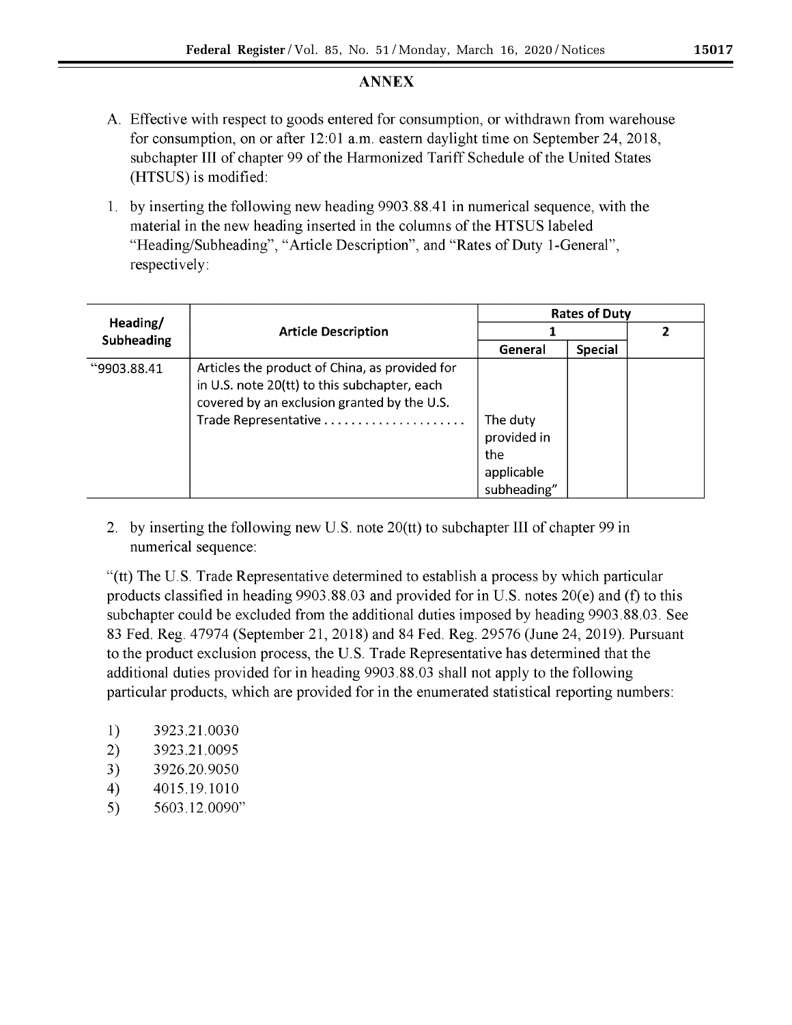# **ANNEX**

- A Effective with respect to goods entered for consumption, or withdrawn from warehouse for consumption, on or after 12:01 a.m. eastern daylight time on September 24, 2018, subchapter III of chapter 99 of the Harmonized Tariff Schedule of the United States (HTSUS) is modified:
- 1. by inserting the following new heading 9903.88.41 in numerical sequence, with the material in the new heading inserted in the columns of the HT SUS labeled "Heading/Subheading", "Article Description", and "Rates of Duty I-General", respectively:

| Heading/<br><b>Subheading</b> | <b>Article Description</b>                                                                                                                                            | <b>Rates of Duty</b>           |                |  |
|-------------------------------|-----------------------------------------------------------------------------------------------------------------------------------------------------------------------|--------------------------------|----------------|--|
|                               |                                                                                                                                                                       |                                |                |  |
|                               |                                                                                                                                                                       | General                        | <b>Special</b> |  |
| "9903.88.41                   | Articles the product of China, as provided for<br>in U.S. note 20(tt) to this subchapter, each<br>covered by an exclusion granted by the U.S.<br>Trade Representative | The duty<br>provided in<br>the |                |  |
|                               |                                                                                                                                                                       | applicable<br>subheading"      |                |  |

2. by inserting the following new U.S. note 20(tt) to subchapter III of chapter 99 in numerical sequence:

"(tt) The U.S. Trade Representative determined to establish a process by which particular products classified in heading 9903.88.03 and provided for in U.S. notes 20(e) and (f) to this subchapter could be excluded from the additional duties imposed by heading 9903.88.03. See 83 Fed. Reg. 47974 (September 21, 2018) and 84 Fed. Reg. 29576 (June 24, 2019). Pursuant to the product exclusion process, the U.S. Trade Representative has determined that the additional duties provided for in heading 9903.88.03 shall not apply to the following particular products, which are provided for in the enumerated statistical reporting numbers:

- 1) 3923.21.0030
- 2) 3923.21.0095
- 3) 3926.20.9050
- 4) 4015 .19.1010
- 5) 5603.12.0090"